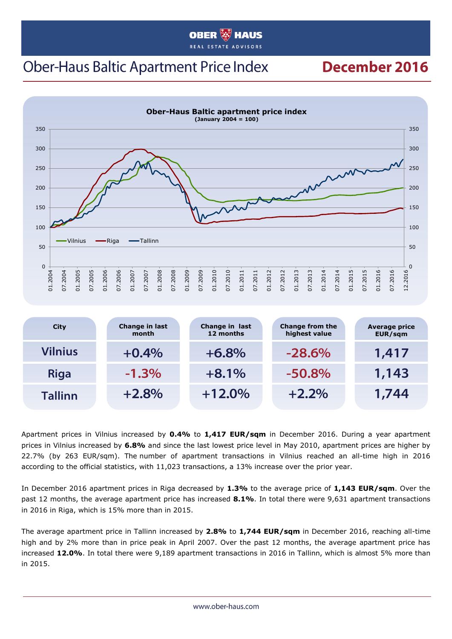#### **OBER HAUS**

## **Ober-Haus Baltic Apartment Price Index**

### December 2016



| <b>City</b>    | Change in last<br>month | Change in last<br>12 months | <b>Change from the</b><br>highest value | <b>Average price</b><br>EUR/sqm |
|----------------|-------------------------|-----------------------------|-----------------------------------------|---------------------------------|
| Vilnius        | $+0.4%$                 | $+6.8%$                     | $-28.6%$                                | 1,417                           |
| <b>Riga</b>    | $-1.3\%$                | $+8.1%$                     | $-50.8%$                                | 1,143                           |
| <b>Tallinn</b> | $+2.8%$                 | $+12.0%$                    | $+2.2%$                                 | 1,744                           |

Apartment prices in Vilnius increased by **0.4%** to **1,417 EUR/sqm** in December 2016. During a year apartment prices in Vilnius increased by **6.8%** and since the last lowest price level in May 2010, apartment prices are higher by 22.7% (by 263 EUR/sqm). The number of apartment transactions in Vilnius reached an all-time high in 2016 according to the official statistics, with 11,023 transactions, a 13% increase over the prior year.

In December 2016 apartment prices in Riga decreased by **1.3%** to the average price of **1,143 EUR/sqm**. Over the past 12 months, the average apartment price has increased **8.1%**. In total there were 9,631 apartment transactions in 2016 in Riga, which is 15% more than in 2015.

The average apartment price in Tallinn increased by **2.8%** to **1,744 EUR/sqm** in December 2016, reaching all-time high and by 2% more than in price peak in April 2007. Over the past 12 months, the average apartment price has increased **12.0%**. In total there were 9,189 apartment transactions in 2016 in Tallinn, which is almost 5% more than in 2015.